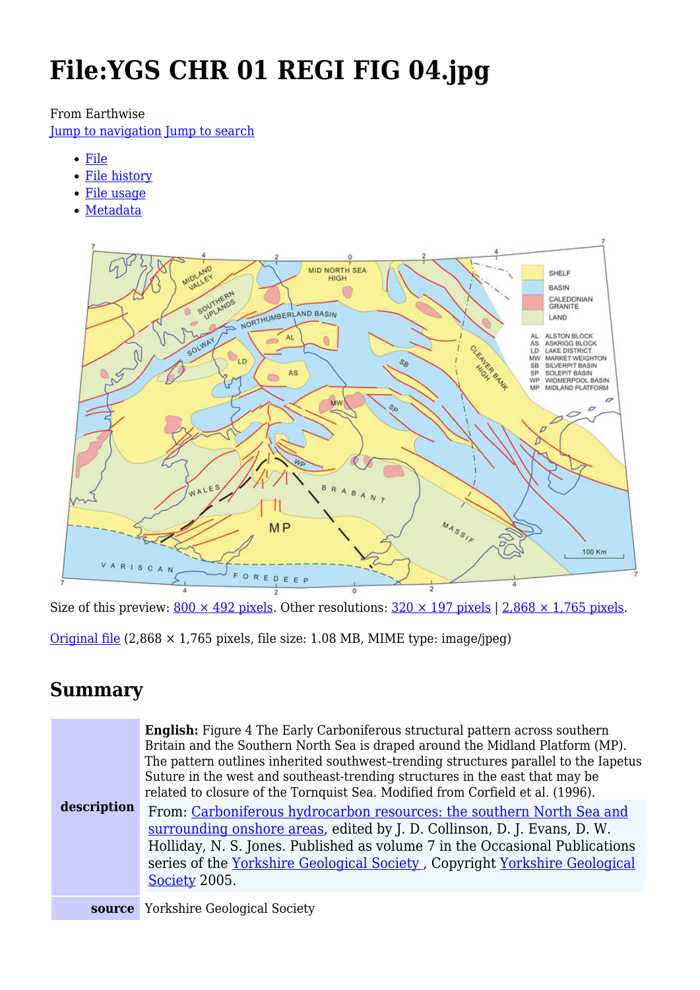# **File:YGS CHR 01 REGI FIG 04.jpg**

#### From Earthwise

[Jump to navigation](#page--1-0) [Jump to search](#page--1-0)

- [File](#page--1-0)
- [File history](#page--1-0)
- [File usage](#page--1-0)
- [Metadata](#page--1-0)



Size of this preview:  $800 \times 492$  pixels. Other resolutions:  $320 \times 197$  pixels | 2,868  $\times$  1,765 pixels.

[Original file](http://earthwise.bgs.ac.uk/images/e/e4/YGS_CHR_01_REGI_FIG_04.jpg)  $(2,868 \times 1,765)$  pixels, file size: 1.08 MB, MIME type: image/jpeg)

### **Summary**

| description | <b>English:</b> Figure 4 The Early Carboniferous structural pattern across southern<br>Britain and the Southern North Sea is draped around the Midland Platform (MP).<br>The pattern outlines inherited southwest-trending structures parallel to the Iapetus<br>Suture in the west and southeast-trending structures in the east that may be<br>related to closure of the Tornquist Sea. Modified from Corfield et al. (1996).<br>From: Carboniferous hydrocarbon resources: the southern North Sea and<br>surrounding onshore areas, edited by J. D. Collinson, D. J. Evans, D. W.<br>Holliday, N. S. Jones. Published as volume 7 in the Occasional Publications<br>series of the Yorkshire Geological Society, Copyright Yorkshire Geological<br>Society 2005. |
|-------------|--------------------------------------------------------------------------------------------------------------------------------------------------------------------------------------------------------------------------------------------------------------------------------------------------------------------------------------------------------------------------------------------------------------------------------------------------------------------------------------------------------------------------------------------------------------------------------------------------------------------------------------------------------------------------------------------------------------------------------------------------------------------|
|             | <b>source</b> Yorkshire Geological Society                                                                                                                                                                                                                                                                                                                                                                                                                                                                                                                                                                                                                                                                                                                         |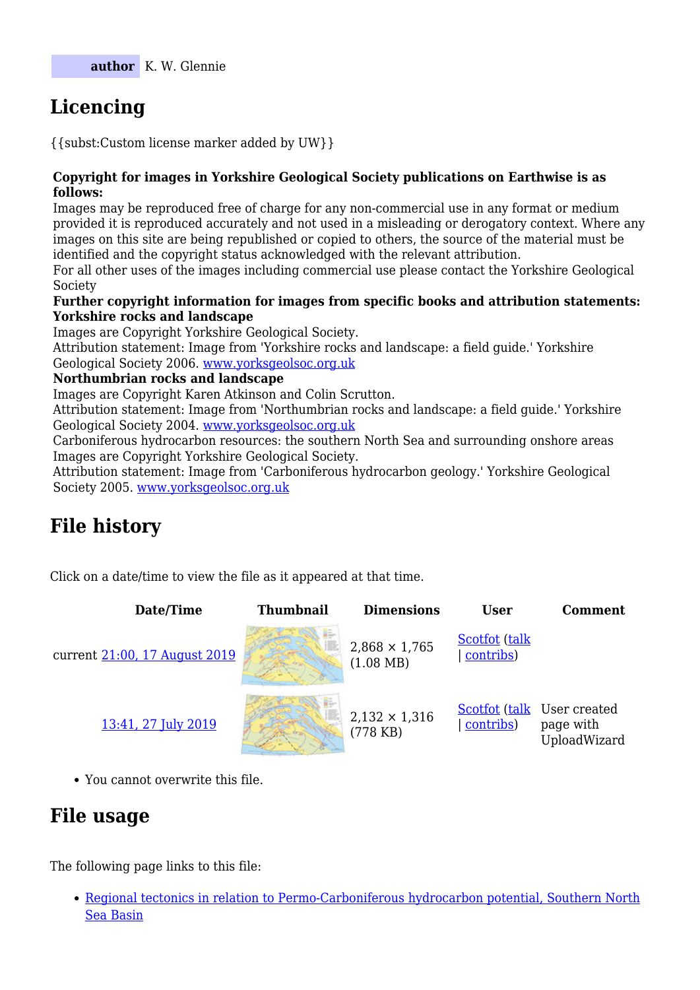# **Licencing**

{{subst:Custom license marker added by UW}}

#### **Copyright for images in Yorkshire Geological Society publications on Earthwise is as follows:**

Images may be reproduced free of charge for any non-commercial use in any format or medium provided it is reproduced accurately and not used in a misleading or derogatory context. Where any images on this site are being republished or copied to others, the source of the material must be identified and the copyright status acknowledged with the relevant attribution.

For all other uses of the images including commercial use please contact the Yorkshire Geological Society

#### **Further copyright information for images from specific books and attribution statements: Yorkshire rocks and landscape**

Images are Copyright Yorkshire Geological Society.

Attribution statement: Image from 'Yorkshire rocks and landscape: a field guide.' Yorkshire Geological Society 2006. [www.yorksgeolsoc.org.uk](http://www.yorksgeolsoc.org.uk)

#### **Northumbrian rocks and landscape**

Images are Copyright Karen Atkinson and Colin Scrutton.

Attribution statement: Image from 'Northumbrian rocks and landscape: a field guide.' Yorkshire Geological Society 2004. [www.yorksgeolsoc.org.uk](http://www.yorksgeolsoc.org.uk)

Carboniferous hydrocarbon resources: the southern North Sea and surrounding onshore areas Images are Copyright Yorkshire Geological Society.

Attribution statement: Image from 'Carboniferous hydrocarbon geology.' Yorkshire Geological Society 2005. [www.yorksgeolsoc.org.uk](http://www.yorksgeolsoc.org.uk)

## **File history**

Click on a date/time to view the file as it appeared at that time.

| Date/Time                     | <b>Thumbnail</b> | <b>Dimensions</b>                           | <b>User</b>                | <b>Comment</b>                                                  |
|-------------------------------|------------------|---------------------------------------------|----------------------------|-----------------------------------------------------------------|
| current 21:00, 17 August 2019 |                  | $2,868 \times 1,765$<br>$(1.08 \text{ MB})$ | Scotfot (talk<br>contribs) |                                                                 |
| 13:41, 27 July 2019           |                  | $2,132 \times 1,316$<br>$(778$ KB)          | contribs)                  | <b>Scotfot (talk User created)</b><br>page with<br>UploadWizard |

You cannot overwrite this file.

### **File usage**

The following page links to this file:

[Regional tectonics in relation to Permo-Carboniferous hydrocarbon potential, Southern North](http://earthwise.bgs.ac.uk/index.php/Regional_tectonics_in_relation_to_Permo-Carboniferous_hydrocarbon_potential,_Southern_North_Sea_Basin) [Sea Basin](http://earthwise.bgs.ac.uk/index.php/Regional_tectonics_in_relation_to_Permo-Carboniferous_hydrocarbon_potential,_Southern_North_Sea_Basin)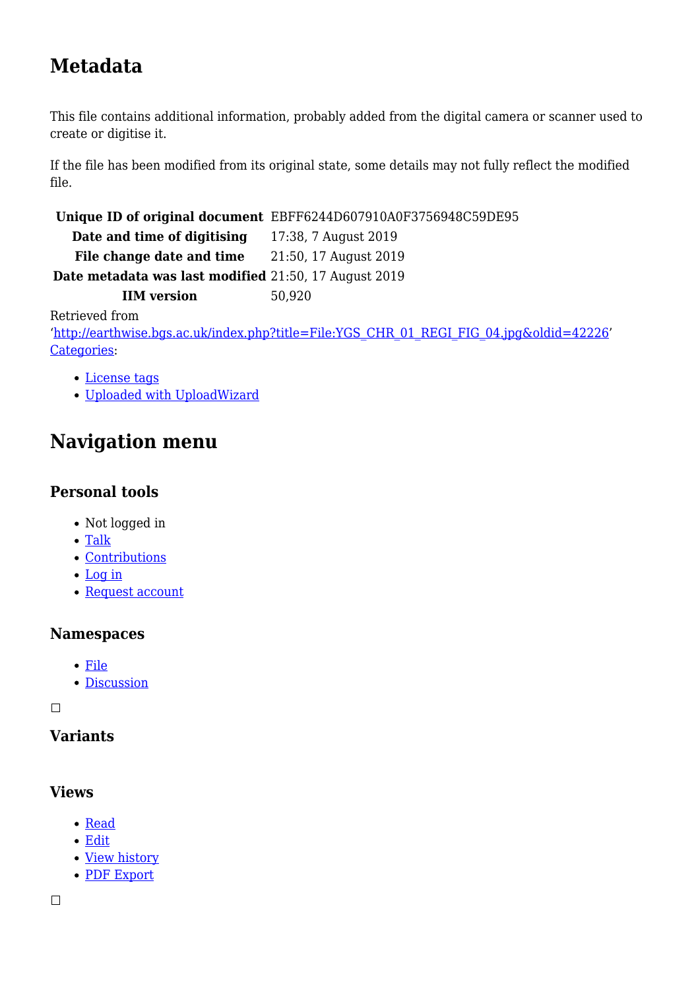# **Metadata**

This file contains additional information, probably added from the digital camera or scanner used to create or digitise it.

If the file has been modified from its original state, some details may not fully reflect the modified file.

**Unique ID of original document** EBFF6244D607910A0F3756948C59DE95

**Date and time of digitising** 17:38, 7 August 2019 File change date and time 21:50, 17 August 2019

**Date metadata was last modified** 21:50, 17 August 2019

**IIM version** 50,920

Retrieved from

'[http://earthwise.bgs.ac.uk/index.php?title=File:YGS\\_CHR\\_01\\_REGI\\_FIG\\_04.jpg&oldid=42226](http://earthwise.bgs.ac.uk/index.php?title=File:YGS_CHR_01_REGI_FIG_04.jpg&oldid=42226)' [Categories:](http://earthwise.bgs.ac.uk/index.php/Special:Categories)

- [License tags](http://earthwise.bgs.ac.uk/index.php/Category:License_tags)
- [Uploaded with UploadWizard](http://earthwise.bgs.ac.uk/index.php/Category:Uploaded_with_UploadWizard)

# **Navigation menu**

### **Personal tools**

- Not logged in
- [Talk](http://earthwise.bgs.ac.uk/index.php/Special:MyTalk)
- [Contributions](http://earthwise.bgs.ac.uk/index.php/Special:MyContributions)
- [Log in](http://earthwise.bgs.ac.uk/index.php?title=Special:UserLogin&returnto=File%3AYGS+CHR+01+REGI+FIG+04.jpg&returntoquery=action%3Dmpdf)
- [Request account](http://earthwise.bgs.ac.uk/index.php/Special:RequestAccount)

### **Namespaces**

- [File](http://earthwise.bgs.ac.uk/index.php/File:YGS_CHR_01_REGI_FIG_04.jpg)
- [Discussion](http://earthwise.bgs.ac.uk/index.php?title=File_talk:YGS_CHR_01_REGI_FIG_04.jpg&action=edit&redlink=1)

 $\Box$ 

### **Variants**

### **Views**

- [Read](http://earthwise.bgs.ac.uk/index.php/File:YGS_CHR_01_REGI_FIG_04.jpg)
- [Edit](http://earthwise.bgs.ac.uk/index.php?title=File:YGS_CHR_01_REGI_FIG_04.jpg&action=edit)
- [View history](http://earthwise.bgs.ac.uk/index.php?title=File:YGS_CHR_01_REGI_FIG_04.jpg&action=history)
- [PDF Export](http://earthwise.bgs.ac.uk/index.php?title=File:YGS_CHR_01_REGI_FIG_04.jpg&action=mpdf)

 $\Box$